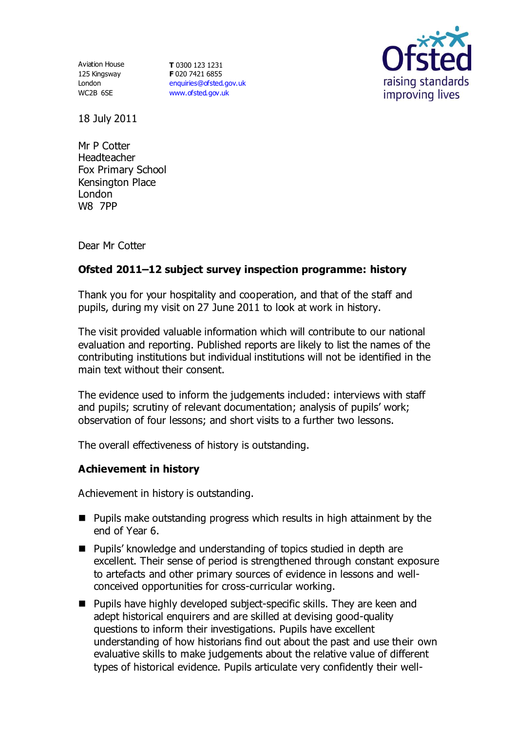Aviation House 125 Kingsway London WC2B 6SE

**T** 0300 123 1231 **F** 020 7421 6855 [enquiries@ofsted.gov.uk](mailto:enquiries@ofsted.gov.uk) [www.ofsted.gov.uk](http://www.ofsted.gov.uk/)



18 July 2011

Mr P Cotter Headteacher Fox Primary School Kensington Place London W8 7PP

Dear Mr Cotter

# **Ofsted 2011–12 subject survey inspection programme: history**

Thank you for your hospitality and cooperation, and that of the staff and pupils, during my visit on 27 June 2011 to look at work in history.

The visit provided valuable information which will contribute to our national evaluation and reporting. Published reports are likely to list the names of the contributing institutions but individual institutions will not be identified in the main text without their consent.

The evidence used to inform the judgements included: interviews with staff and pupils; scrutiny of relevant documentation; analysis of pupils' work; observation of four lessons; and short visits to a further two lessons.

The overall effectiveness of history is outstanding.

## **Achievement in history**

Achievement in history is outstanding.

- $\blacksquare$  Pupils make outstanding progress which results in high attainment by the end of Year 6.
- Pupils' knowledge and understanding of topics studied in depth are excellent. Their sense of period is strengthened through constant exposure to artefacts and other primary sources of evidence in lessons and wellconceived opportunities for cross-curricular working.
- Pupils have highly developed subject-specific skills. They are keen and adept historical enquirers and are skilled at devising good-quality questions to inform their investigations. Pupils have excellent understanding of how historians find out about the past and use their own evaluative skills to make judgements about the relative value of different types of historical evidence. Pupils articulate very confidently their well-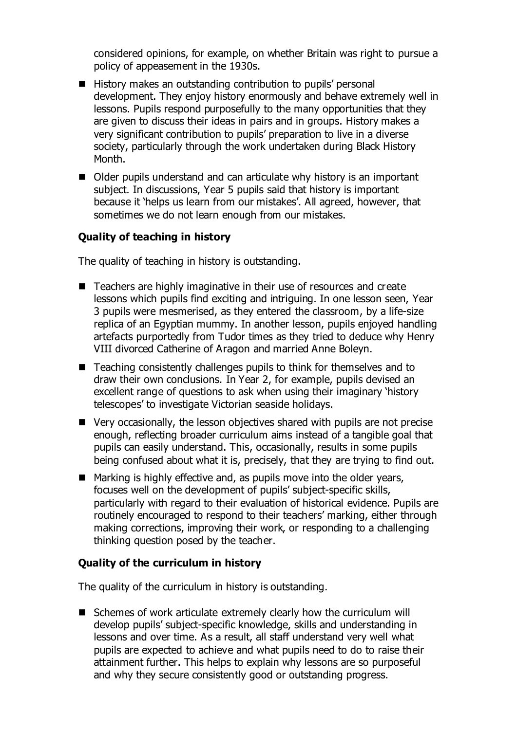considered opinions, for example, on whether Britain was right to pursue a policy of appeasement in the 1930s.

- History makes an outstanding contribution to pupils' personal development. They enjoy history enormously and behave extremely well in lessons. Pupils respond purposefully to the many opportunities that they are given to discuss their ideas in pairs and in groups. History makes a very significant contribution to pupils' preparation to live in a diverse society, particularly through the work undertaken during Black History Month.
- Older pupils understand and can articulate why history is an important subject. In discussions, Year 5 pupils said that history is important because it 'helps us learn from our mistakes'. All agreed, however, that sometimes we do not learn enough from our mistakes.

## **Quality of teaching in history**

The quality of teaching in history is outstanding.

- Teachers are highly imaginative in their use of resources and create lessons which pupils find exciting and intriguing. In one lesson seen, Year 3 pupils were mesmerised, as they entered the classroom, by a life-size replica of an Egyptian mummy. In another lesson, pupils enjoyed handling artefacts purportedly from Tudor times as they tried to deduce why Henry VIII divorced Catherine of Aragon and married Anne Boleyn.
- Teaching consistently challenges pupils to think for themselves and to draw their own conclusions. In Year 2, for example, pupils devised an excellent range of questions to ask when using their imaginary 'history telescopes' to investigate Victorian seaside holidays.
- Very occasionally, the lesson objectives shared with pupils are not precise enough, reflecting broader curriculum aims instead of a tangible goal that pupils can easily understand. This, occasionally, results in some pupils being confused about what it is, precisely, that they are trying to find out.
- Marking is highly effective and, as pupils move into the older years, focuses well on the development of pupils' subject-specific skills, particularly with regard to their evaluation of historical evidence. Pupils are routinely encouraged to respond to their teachers' marking, either through making corrections, improving their work, or responding to a challenging thinking question posed by the teacher.

## **Quality of the curriculum in history**

The quality of the curriculum in history is outstanding.

■ Schemes of work articulate extremely clearly how the curriculum will develop pupils' subject-specific knowledge, skills and understanding in lessons and over time. As a result, all staff understand very well what pupils are expected to achieve and what pupils need to do to raise their attainment further. This helps to explain why lessons are so purposeful and why they secure consistently good or outstanding progress.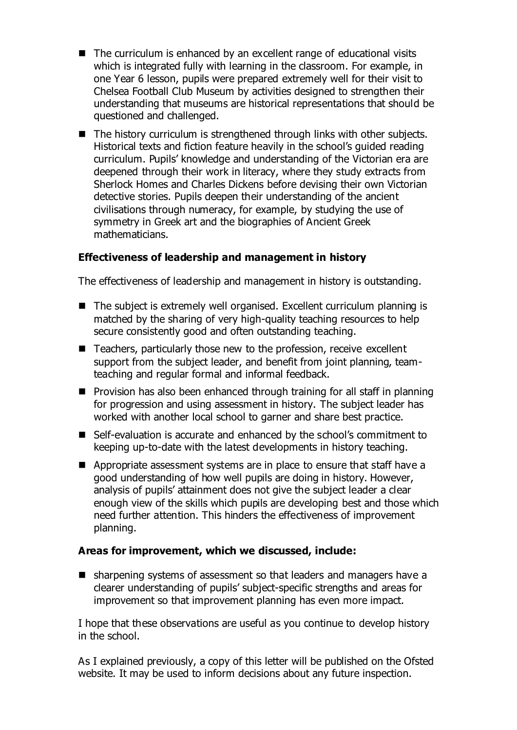- The curriculum is enhanced by an excellent range of educational visits which is integrated fully with learning in the classroom. For example, in one Year 6 lesson, pupils were prepared extremely well for their visit to Chelsea Football Club Museum by activities designed to strengthen their understanding that museums are historical representations that should be questioned and challenged.
- $\blacksquare$  The history curriculum is strengthened through links with other subjects. Historical texts and fiction feature heavily in the school's guided reading curriculum. Pupils' knowledge and understanding of the Victorian era are deepened through their work in literacy, where they study extracts from Sherlock Homes and Charles Dickens before devising their own Victorian detective stories. Pupils deepen their understanding of the ancient civilisations through numeracy, for example, by studying the use of symmetry in Greek art and the biographies of Ancient Greek mathematicians.

# **Effectiveness of leadership and management in history**

The effectiveness of leadership and management in history is outstanding.

- The subject is extremely well organised. Excellent curriculum planning is matched by the sharing of very high-quality teaching resources to help secure consistently good and often outstanding teaching.
- Teachers, particularly those new to the profession, receive excellent support from the subject leader, and benefit from joint planning, teamteaching and regular formal and informal feedback.
- **Provision has also been enhanced through training for all staff in planning** for progression and using assessment in history. The subject leader has worked with another local school to garner and share best practice.
- Self-evaluation is accurate and enhanced by the school's commitment to keeping up-to-date with the latest developments in history teaching.
- Appropriate assessment systems are in place to ensure that staff have a good understanding of how well pupils are doing in history. However, analysis of pupils' attainment does not give the subject leader a clear enough view of the skills which pupils are developing best and those which need further attention. This hinders the effectiveness of improvement planning.

## **Areas for improvement, which we discussed, include:**

■ sharpening systems of assessment so that leaders and managers have a clearer understanding of pupils' subject-specific strengths and areas for improvement so that improvement planning has even more impact.

I hope that these observations are useful as you continue to develop history in the school.

As I explained previously, a copy of this letter will be published on the Ofsted website. It may be used to inform decisions about any future inspection.